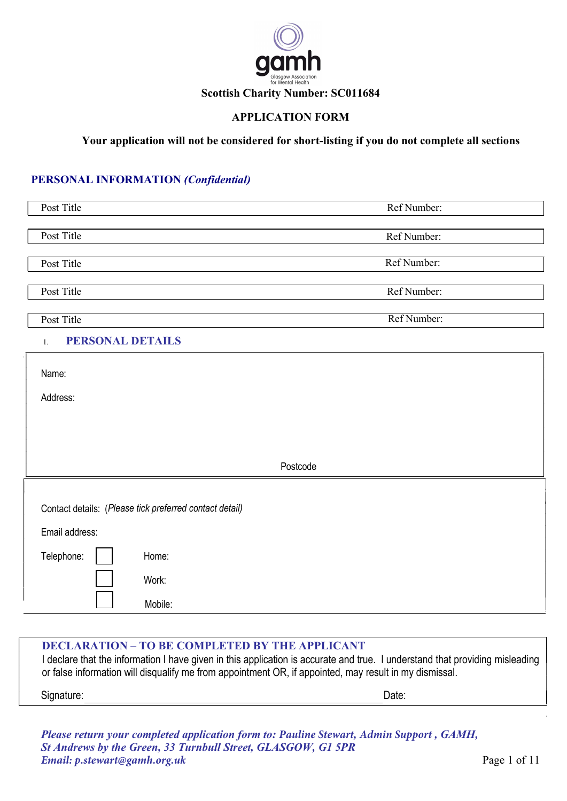

### APPLICATION FORM

### Your application will not be considered for short-listing if you do not complete all sections

## PERSONAL INFORMATION (Confidential)

| Post Title<br>Ref Number:<br>Post Title<br>Ref Number:<br>Ref Number:<br>Post Title<br>Post Title<br>Ref Number:<br>Ref Number:<br>Post Title<br><b>PERSONAL DETAILS</b><br>$1. \,$<br>Name:<br>Address:<br>Postcode<br>Contact details: (Please tick preferred contact detail)<br>Email address:<br>Telephone:<br>Home:<br>Work: |         |  |
|-----------------------------------------------------------------------------------------------------------------------------------------------------------------------------------------------------------------------------------------------------------------------------------------------------------------------------------|---------|--|
|                                                                                                                                                                                                                                                                                                                                   |         |  |
|                                                                                                                                                                                                                                                                                                                                   |         |  |
|                                                                                                                                                                                                                                                                                                                                   |         |  |
|                                                                                                                                                                                                                                                                                                                                   |         |  |
|                                                                                                                                                                                                                                                                                                                                   |         |  |
|                                                                                                                                                                                                                                                                                                                                   |         |  |
|                                                                                                                                                                                                                                                                                                                                   |         |  |
|                                                                                                                                                                                                                                                                                                                                   |         |  |
|                                                                                                                                                                                                                                                                                                                                   |         |  |
|                                                                                                                                                                                                                                                                                                                                   |         |  |
|                                                                                                                                                                                                                                                                                                                                   |         |  |
|                                                                                                                                                                                                                                                                                                                                   |         |  |
|                                                                                                                                                                                                                                                                                                                                   |         |  |
|                                                                                                                                                                                                                                                                                                                                   |         |  |
|                                                                                                                                                                                                                                                                                                                                   |         |  |
|                                                                                                                                                                                                                                                                                                                                   |         |  |
|                                                                                                                                                                                                                                                                                                                                   |         |  |
|                                                                                                                                                                                                                                                                                                                                   |         |  |
|                                                                                                                                                                                                                                                                                                                                   |         |  |
|                                                                                                                                                                                                                                                                                                                                   |         |  |
|                                                                                                                                                                                                                                                                                                                                   |         |  |
|                                                                                                                                                                                                                                                                                                                                   |         |  |
|                                                                                                                                                                                                                                                                                                                                   | Mobile: |  |

#### DECLARATION – TO BE COMPLETED BY THE APPLICANT

I declare that the information I have given in this application is accurate and true. I understand that providing misleading or false information will disqualify me from appointment OR, if appointed, may result in my dismissal.

Signature: Date: Date: Date: Date: Date: Date: Date: Date: Date: Date: Date: Date: Date: Date: Date: Date: Date: Date: Date: Date: Date: Date: Date: Date: Date: Date: Date: Date: Date: Date: Date: Date: Date: Date: Date: D

Please return your completed application form to: *Pauline Stewart*, *Admin Support* , GAMH, St Andrews by the Green, 33 Turnbull Street, GLASGOW, G1 5PR *Email: p.stewart@gamh.org.uk*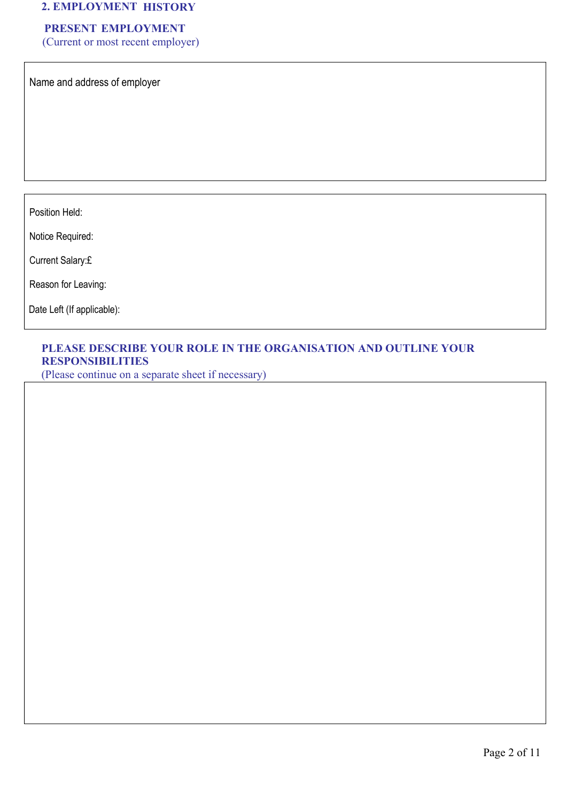# 2. EMPLOYMENT HISTORY

# PRESENT EMPLOYMENT

(Current or most recent employer)

Name and address of employer

Position Held:

Notice Required:

Current Salary:£

Reason for Leaving:

Date Left (If applicable):

### PLEASE DESCRIBE YOUR ROLE IN THE ORGANISATION AND OUTLINE YOUR RESPONSIBILITIES

(Please continue on a separate sheet if necessary)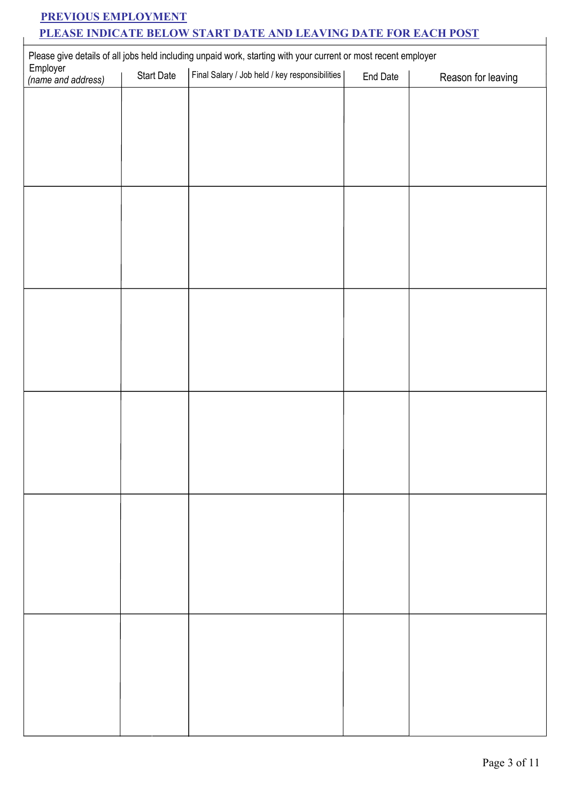# PREVIOUS EMPLOYMENT PLEASE INDICATE BELOW START DATE AND LEAVING DATE FOR EACH POST

| Please give details of all jobs held including unpaid work, starting with your current or most recent employer<br>Employer |  |          |                                                |  |
|----------------------------------------------------------------------------------------------------------------------------|--|----------|------------------------------------------------|--|
| Start Date                                                                                                                 |  | End Date | Reason for leaving                             |  |
|                                                                                                                            |  |          |                                                |  |
|                                                                                                                            |  |          |                                                |  |
|                                                                                                                            |  |          |                                                |  |
|                                                                                                                            |  |          |                                                |  |
|                                                                                                                            |  |          |                                                |  |
|                                                                                                                            |  |          |                                                |  |
|                                                                                                                            |  |          |                                                |  |
|                                                                                                                            |  |          |                                                |  |
|                                                                                                                            |  |          |                                                |  |
|                                                                                                                            |  |          |                                                |  |
|                                                                                                                            |  |          |                                                |  |
|                                                                                                                            |  |          |                                                |  |
|                                                                                                                            |  |          |                                                |  |
|                                                                                                                            |  |          |                                                |  |
|                                                                                                                            |  |          |                                                |  |
|                                                                                                                            |  |          |                                                |  |
|                                                                                                                            |  |          |                                                |  |
|                                                                                                                            |  |          |                                                |  |
|                                                                                                                            |  |          |                                                |  |
|                                                                                                                            |  |          |                                                |  |
|                                                                                                                            |  |          |                                                |  |
|                                                                                                                            |  |          |                                                |  |
|                                                                                                                            |  |          |                                                |  |
|                                                                                                                            |  |          |                                                |  |
|                                                                                                                            |  |          |                                                |  |
|                                                                                                                            |  |          |                                                |  |
|                                                                                                                            |  |          |                                                |  |
|                                                                                                                            |  |          |                                                |  |
|                                                                                                                            |  |          |                                                |  |
|                                                                                                                            |  |          | Final Salary / Job held / key responsibilities |  |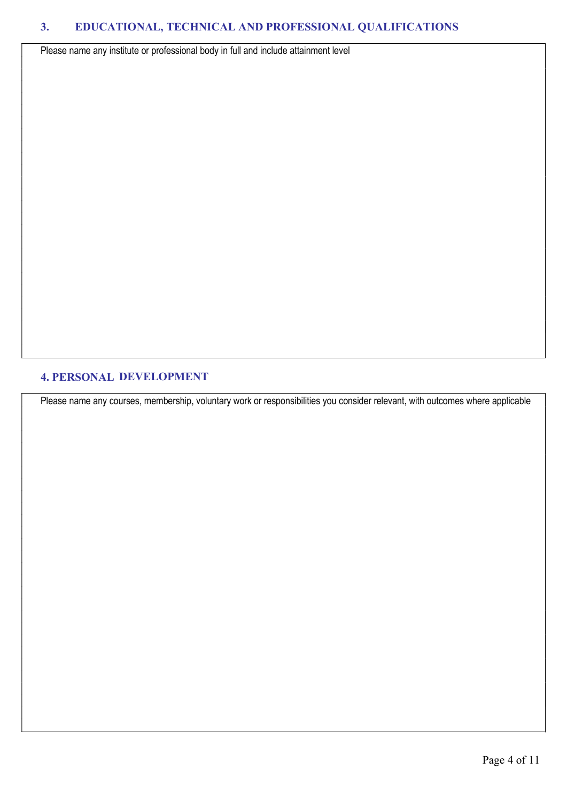Please name any institute or professional body in full and include attainment level

#### 4. PERSONAL DEVELOPMENT

Please name any courses, membership, voluntary work or responsibilities you consider relevant, with outcomes where applicable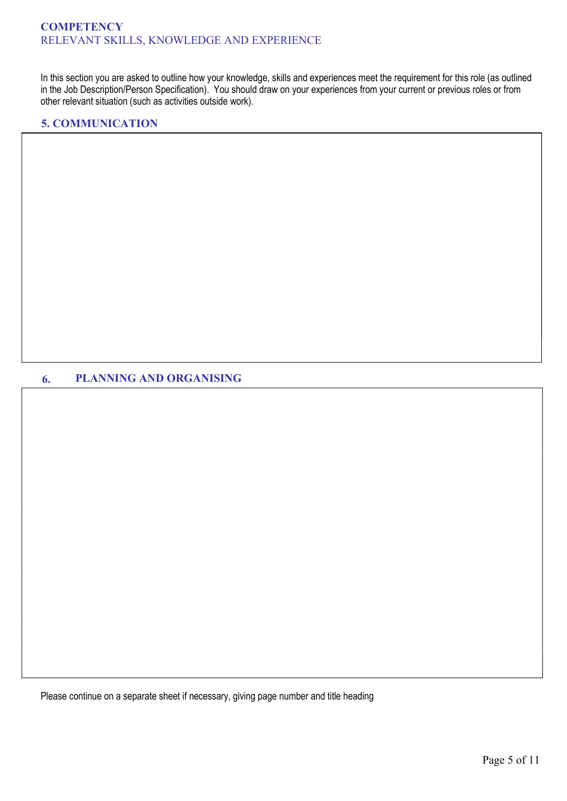In this section you are asked to outline how your knowledge, skills and experiences meet the requirement for this role (as outlined in the Job Description/Person Specification). You should draw on your experiences from your current or previous roles or from other relevant situation (such as activities outside work).

### 5. COMMUNICATION

## 6. PLANNING AND ORGANISING

Please continue on a separate sheet if necessary, giving page number and title heading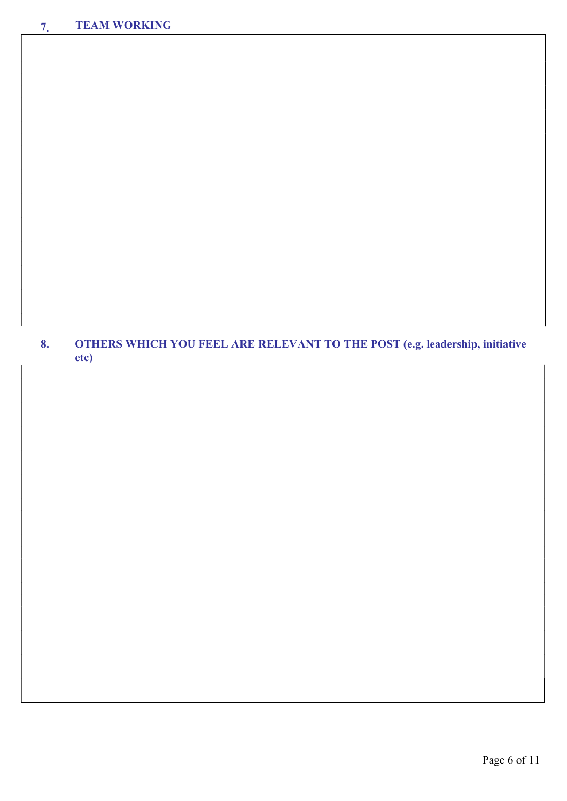# 8. OTHERS WHICH YOU FEEL ARE RELEVANT TO THE POST (e.g. leadership, initiative etc)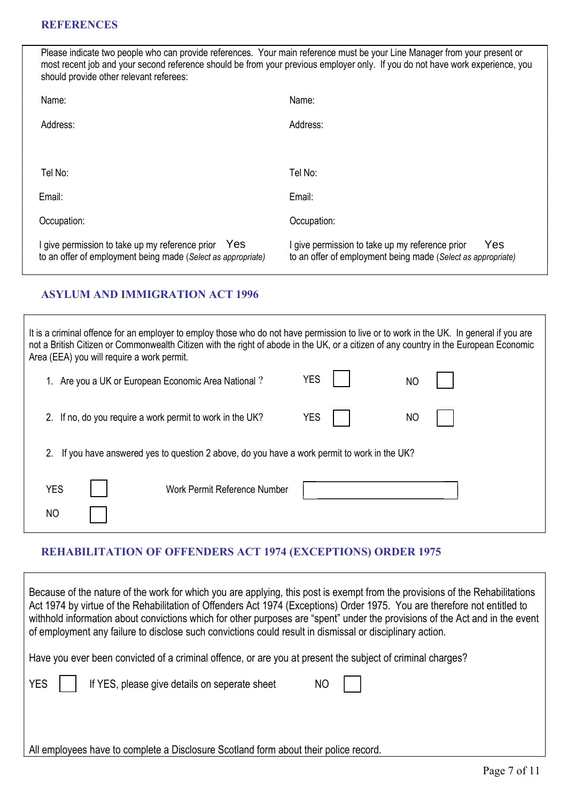Please indicate two people who can provide references. Your main reference must be your Line Manager from your present or most recent job and your second reference should be from your previous employer only. If you do not have work experience, you should provide other relevant referees:

| Name:                                                                                                                  | Name:                                                                                                                  |
|------------------------------------------------------------------------------------------------------------------------|------------------------------------------------------------------------------------------------------------------------|
| Address:                                                                                                               | Address:                                                                                                               |
|                                                                                                                        |                                                                                                                        |
| Tel No:                                                                                                                | Tel No:                                                                                                                |
| Email:                                                                                                                 | Email:                                                                                                                 |
| Occupation:                                                                                                            | Occupation:                                                                                                            |
| I give permission to take up my reference prior<br>Yes<br>to an offer of employment being made (Select as appropriate) | Yes<br>I give permission to take up my reference prior<br>to an offer of employment being made (Select as appropriate) |

## ASYLUM AND IMMIGRATION ACT 1996

It is a criminal offence for an employer to employ those who do not have permission to live or to work in the UK. In general if you are not a British Citizen or Commonwealth Citizen with the right of abode in the UK, or a citizen of any country in the European Economic Area (EEA) you will require a work permit. 1. Are you a UK or European Economic Area National ? YES 2. If no, do you require a work permit to work in the UK?  $YES$  | | NO NO

2. If you have answered yes to question 2 above, do you have a work permit to work in the UK?

| YES       | Work Permit Reference Number |  |
|-----------|------------------------------|--|
| <b>NO</b> |                              |  |

# REHABILITATION OF OFFENDERS ACT 1974 (EXCEPTIONS) ORDER 1975

| Because of the nature of the work for which you are applying, this post is exempt from the provisions of the Rehabilitations<br>Act 1974 by virtue of the Rehabilitation of Offenders Act 1974 (Exceptions) Order 1975. You are therefore not entitled to<br>withhold information about convictions which for other purposes are "spent" under the provisions of the Act and in the event<br>of employment any failure to disclose such convictions could result in dismissal or disciplinary action. |
|-------------------------------------------------------------------------------------------------------------------------------------------------------------------------------------------------------------------------------------------------------------------------------------------------------------------------------------------------------------------------------------------------------------------------------------------------------------------------------------------------------|
| Have you ever been convicted of a criminal offence, or are you at present the subject of criminal charges?                                                                                                                                                                                                                                                                                                                                                                                            |
| <b>YES</b><br>If YES, please give details on seperate sheet<br>ΝO                                                                                                                                                                                                                                                                                                                                                                                                                                     |
|                                                                                                                                                                                                                                                                                                                                                                                                                                                                                                       |
| All employees have to complete a Disclosure Scotland form about their police record.                                                                                                                                                                                                                                                                                                                                                                                                                  |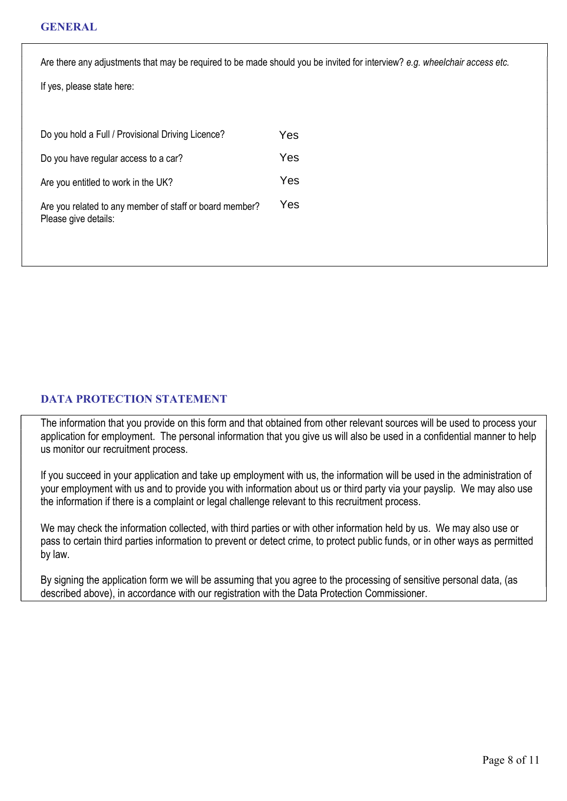Are there any adjustments that may be required to be made should you be invited for interview? e.g. wheelchair access etc.

If yes, please state here:

| Do you hold a Full / Provisional Driving Licence?                               | Yes |
|---------------------------------------------------------------------------------|-----|
| Do you have regular access to a car?                                            | Yes |
| Are you entitled to work in the UK?                                             | Yes |
| Are you related to any member of staff or board member?<br>Please give details: | Yes |

## DATA PROTECTION STATEMENT

The information that you provide on this form and that obtained from other relevant sources will be used to process your application for employment. The personal information that you give us will also be used in a confidential manner to help us monitor our recruitment process.

If you succeed in your application and take up employment with us, the information will be used in the administration of your employment with us and to provide you with information about us or third party via your payslip. We may also use the information if there is a complaint or legal challenge relevant to this recruitment process.

We may check the information collected, with third parties or with other information held by us. We may also use or pass to certain third parties information to prevent or detect crime, to protect public funds, or in other ways as permitted by law.

By signing the application form we will be assuming that you agree to the processing of sensitive personal data, (as described above), in accordance with our registration with the Data Protection Commissioner.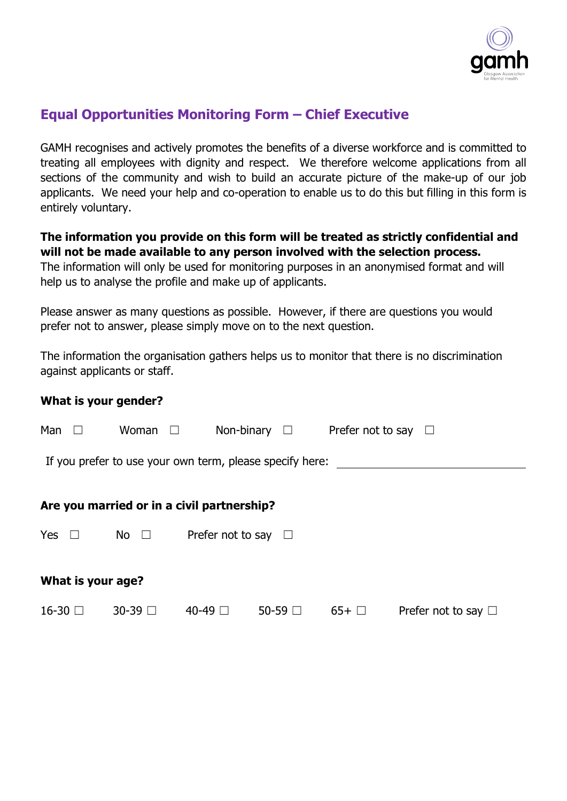

# **Equal Opportunities Monitoring Form – Chief Executive**

GAMH recognises and actively promotes the benefits of a diverse workforce and is committed to treating all employees with dignity and respect. We therefore welcome applications from all sections of the community and wish to build an accurate picture of the make-up of our job applicants. We need your help and co-operation to enable us to do this but filling in this form is entirely voluntary.

# **The information you provide on this form will be treated as strictly confidential and will not be made available to any person involved with the selection process.**

The information will only be used for monitoring purposes in an anonymised format and will help us to analyse the profile and make up of applicants.

Please answer as many questions as possible. However, if there are questions you would prefer not to answer, please simply move on to the next question.

The information the organisation gathers helps us to monitor that there is no discrimination against applicants or staff.

**What is your gender?**

| Man               | Woman $\square$ |                                                          | Non-binary $\square$ | Prefer not to say $\square$ |                          |
|-------------------|-----------------|----------------------------------------------------------|----------------------|-----------------------------|--------------------------|
|                   |                 | If you prefer to use your own term, please specify here: |                      |                             |                          |
|                   |                 |                                                          |                      |                             |                          |
|                   |                 | Are you married or in a civil partnership?               |                      |                             |                          |
| Yes $\square$     | No $\square$    | Prefer not to say $\square$                              |                      |                             |                          |
| What is your age? |                 |                                                          |                      |                             |                          |
| $16-30$ $\Box$    | 30-39 □         | 40-49 □                                                  | $50-59$ $\Box$       | $65+$                       | Prefer not to say $\Box$ |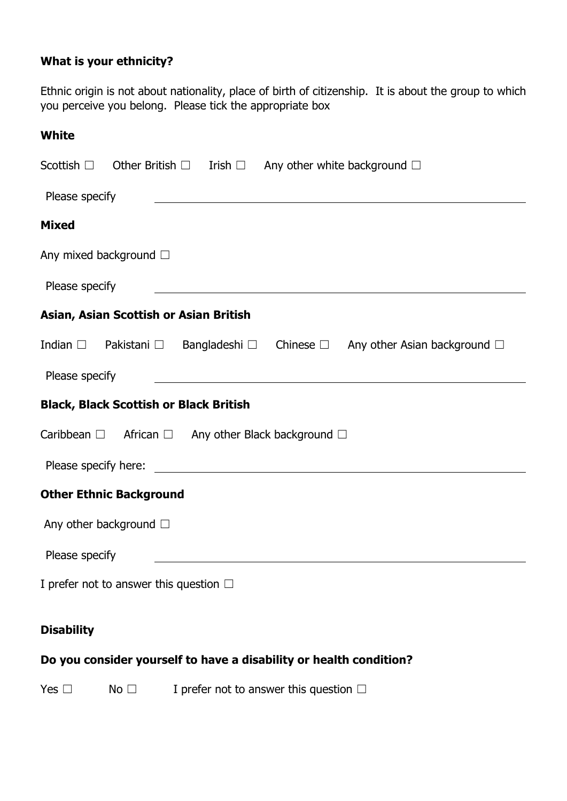# **What is your ethnicity?**

Ethnic origin is not about nationality, place of birth of citizenship. It is about the group to which you perceive you belong. Please tick the appropriate box

| <b>White</b>                                                                                                                                                                                                                                           |
|--------------------------------------------------------------------------------------------------------------------------------------------------------------------------------------------------------------------------------------------------------|
| Scottish $\Box$ Other British $\Box$ Irish $\Box$ Any other white background $\Box$                                                                                                                                                                    |
| Please specify<br><u>and the state of the state of the state of the state of the state of the state of the state of the state of the state of the state of the state of the state of the state of the state of the state of the state of the state</u> |
| <b>Mixed</b>                                                                                                                                                                                                                                           |
| Any mixed background $\square$                                                                                                                                                                                                                         |
| Please specify                                                                                                                                                                                                                                         |
| Asian, Asian Scottish or Asian British                                                                                                                                                                                                                 |
| Indian □ Pakistani □ Bangladeshi □ Chinese □ Any other Asian background □                                                                                                                                                                              |
| Please specify                                                                                                                                                                                                                                         |
| <b>Black, Black Scottish or Black British</b>                                                                                                                                                                                                          |
| Caribbean $\Box$ African $\Box$ Any other Black background $\Box$                                                                                                                                                                                      |
|                                                                                                                                                                                                                                                        |
| <b>Other Ethnic Background</b>                                                                                                                                                                                                                         |
| Any other background $\square$                                                                                                                                                                                                                         |
| Please specify                                                                                                                                                                                                                                         |
| I prefer not to answer this question $\Box$                                                                                                                                                                                                            |
| <b>Disability</b>                                                                                                                                                                                                                                      |
| Do you consider yourself to have a disability or health condition?                                                                                                                                                                                     |

Yes  $\Box$  No  $\Box$  I prefer not to answer this question  $\Box$